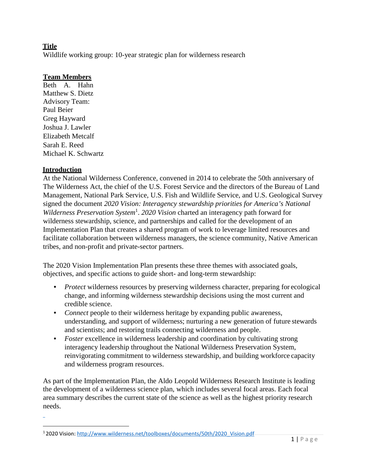# **Title**

Wildlife working group: 10-year strategic plan for wilderness research

## **Team Members**

Beth A. Hahn Matthew S. Dietz Advisory Team: Paul Beier Greg Hayward Joshua J. Lawler Elizabeth Metcalf Sarah E. Reed Michael K. Schwartz

#### **Introduction**

At the National Wilderness Conference, convened in 2014 to celebrate the 50th anniversary of The Wilderness Act, the chief of the U.S. Forest Service and the directors of the Bureau of Land Management, National Park Service, U.S. Fish and Wildlife Service, and U.S. Geological Survey signed the document *2020 Vision: Interagency stewardship priorities for America's National*  Wilderness Preservation System<sup>[1](#page-0-0)</sup>. 2020 Vision charted an interagency path forward for wilderness stewardship, science, and partnerships and called for the development of an Implementation Plan that creates a shared program of work to leverage limited resources and facilitate collaboration between wilderness managers, the science community, Native American tribes, and non-profit and private-sector partners.

The 2020 Vision Implementation Plan presents these three themes with associated goals, objectives, and specific actions to guide short- and long-term stewardship:

- *Protect* wilderness resources by preserving wilderness character, preparing for ecological change, and informing wilderness stewardship decisions using the most current and credible science.
- *Connect* people to their wilderness heritage by expanding public awareness, understanding, and support of wilderness; nurturing a new generation of future stewards and scientists; and restoring trails connecting wilderness and people.
- *Foster* excellence in wilderness leadership and coordination by cultivating strong interagency leadership throughout the National Wilderness Preservation System, reinvigorating commitment to wilderness stewardship, and building workforce capacity and wilderness program resources.

As part of the Implementation Plan, the Aldo Leopold Wilderness Research Institute is leading the development of a wilderness science plan, which includes several focal areas. Each focal area summary describes the current state of the science as well as the highest priority research needs.

<span id="page-0-0"></span><sup>1 2020</sup> Vision: [http://www.wilderness.net/toolboxes/documents/50th/2020\\_Vision.pdf](http://www.wilderness.net/toolboxes/documents/50th/2020_Vision.pdf)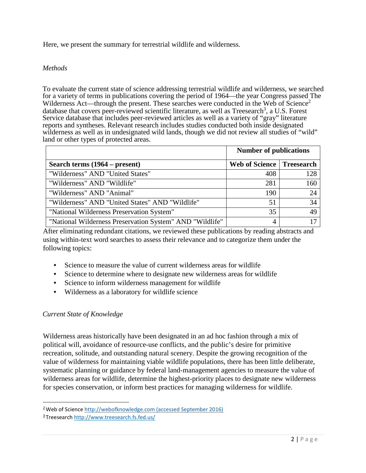Here, we present the summary for terrestrial wildlife and wilderness.

## *Methods*

To evaluate the current state of science addressing terrestrial wildlife and wilderness, we searched for a variety of terms in publications covering the period of 1964—the year Congress passed The Wilderness Act—through the present. These searches were conducted in the Web of  $\text{Science}^2$ database that covers peer-reviewed scientific literature, as well as Treesearch<sup>[3](#page-1-1)</sup>, a U.S. Forest Service database that includes peer-reviewed articles as well as a variety of "gray" literature reports and syntheses. Relevant research includes studies conducted both inside designated wilderness as well as in undesignated wild lands, though we did not review all studies of "wild" land or other types of protected areas.

|                                                          | <b>Number of publications</b> |                   |
|----------------------------------------------------------|-------------------------------|-------------------|
| Search terms (1964 – present)                            | Web of Science                | <b>Treesearch</b> |
| "Wilderness" AND "United States"                         | 408                           | 128               |
| "Wilderness" AND "Wildlife"                              | 281                           | 160               |
| "Wilderness" AND "Animal"                                | 190                           | 24                |
| "Wilderness" AND "United States" AND "Wildlife"          | 51                            | 34                |
| "National Wilderness Preservation System"                | 35                            | 49                |
| "National Wilderness Preservation System" AND "Wildlife" | 4                             | 17                |

After eliminating redundant citations, we reviewed these publications by reading abstracts and using within-text word searches to assess their relevance and to categorize them under the following topics:

- Science to measure the value of current wilderness areas for wildlife
- Science to determine where to designate new wilderness areas for wildlife
- Science to inform wilderness management for wildlife
- Wilderness as a laboratory for wildlife science

## *Current State of Knowledge*

Wilderness areas historically have been designated in an ad hoc fashion through a mix of political will, avoidance of resource-use conflicts, and the public's desire for primitive recreation, solitude, and outstanding natural scenery. Despite the growing recognition of the value of wilderness for maintaining viable wildlife populations, there has been little deliberate, systematic planning or guidance by federal land-management agencies to measure the value of wilderness areas for wildlife, determine the highest-priority places to designate new wilderness for species conservation, or inform best practices for managing wilderness for wildlife.

<span id="page-1-0"></span><sup>&</sup>lt;sup>2</sup> Web of Scienc[e http://webofknowledge.com \(a](http://webofknowledge.com/)ccessed September 2016)

<span id="page-1-1"></span><sup>3</sup> Treesearch<http://www.treesearch.fs.fed.us/>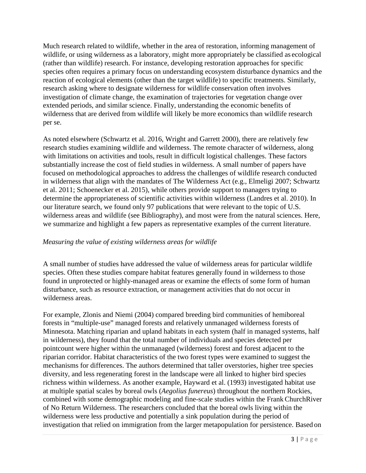Much research related to wildlife, whether in the area of restoration, informing management of wildlife, or using wilderness as a laboratory, might more appropriately be classified as ecological (rather than wildlife) research. For instance, developing restoration approaches for specific species often requires a primary focus on understanding ecosystem disturbance dynamics and the reaction of ecological elements (other than the target wildlife) to specific treatments. Similarly, research asking where to designate wilderness for wildlife conservation often involves investigation of climate change, the examination of trajectories for vegetation change over extended periods, and similar science. Finally, understanding the economic benefits of wilderness that are derived from wildlife will likely be more economics than wildlife research per se.

As noted elsewhere (Schwartz et al. 2016, Wright and Garrett 2000), there are relatively few research studies examining wildlife and wilderness. The remote character of wilderness, along with limitations on activities and tools, result in difficult logistical challenges. These factors substantially increase the cost of field studies in wilderness. A small number of papers have focused on methodological approaches to address the challenges of wildlife research conducted in wilderness that align with the mandates of The Wilderness Act (e.g., Elmeligi 2007; Schwartz et al. 2011; Schoenecker et al. 2015), while others provide support to managers trying to determine the appropriateness of scientific activities within wilderness (Landres et al. 2010). In our literature search, we found only 97 publications that were relevant to the topic of U.S. wilderness areas and wildlife (see Bibliography), and most were from the natural sciences. Here, we summarize and highlight a few papers as representative examples of the current literature.

## *Measuring the value of existing wilderness areas for wildlife*

A small number of studies have addressed the value of wilderness areas for particular wildlife species. Often these studies compare habitat features generally found in wilderness to those found in unprotected or highly-managed areas or examine the effects of some form of human disturbance, such as resource extraction, or management activities that do not occur in wilderness areas.

For example, Zlonis and Niemi (2004) compared breeding bird communities of hemiboreal forests in "multiple-use" managed forests and relatively unmanaged wilderness forests of Minnesota. Matching riparian and upland habitats in each system (half in managed systems, half in wilderness), they found that the total number of individuals and species detected per pointcount were higher within the unmanaged (wilderness) forest and forest adjacent to the riparian corridor. Habitat characteristics of the two forest types were examined to suggest the mechanisms for differences. The authors determined that taller overstories, higher tree species diversity, and less regenerating forest in the landscape were all linked to higher bird species richness within wilderness. As another example, Hayward et al. (1993) investigated habitat use at multiple spatial scales by boreal owls (*Aegolius funereus*) throughout the northern Rockies, combined with some demographic modeling and fine-scale studies within the Frank ChurchRiver of No Return Wilderness. The researchers concluded that the boreal owls living within the wilderness were less productive and potentially a sink population during the period of investigation that relied on immigration from the larger metapopulation for persistence. Based on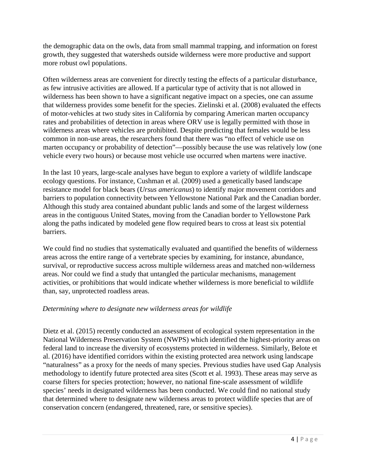the demographic data on the owls, data from small mammal trapping, and information on forest growth, they suggested that watersheds outside wilderness were more productive and support more robust owl populations.

Often wilderness areas are convenient for directly testing the effects of a particular disturbance, as few intrusive activities are allowed. If a particular type of activity that is not allowed in wilderness has been shown to have a significant negative impact on a species, one can assume that wilderness provides some benefit for the species. Zielinski et al. (2008) evaluated the effects of motor-vehicles at two study sites in California by comparing American marten occupancy rates and probabilities of detection in areas where ORV use is legally permitted with those in wilderness areas where vehicles are prohibited. Despite predicting that females would be less common in non-use areas, the researchers found that there was "no effect of vehicle use on marten occupancy or probability of detection"—possibly because the use was relatively low (one vehicle every two hours) or because most vehicle use occurred when martens were inactive.

In the last 10 years, large-scale analyses have begun to explore a variety of wildlife landscape ecology questions. For instance, Cushman et al. (2009) used a genetically based landscape resistance model for black bears (*Ursus americanus*) to identify major movement corridors and barriers to population connectivity between Yellowstone National Park and the Canadian border. Although this study area contained abundant public lands and some of the largest wilderness areas in the contiguous United States, moving from the Canadian border to Yellowstone Park along the paths indicated by modeled gene flow required bears to cross at least six potential barriers.

We could find no studies that systematically evaluated and quantified the benefits of wilderness areas across the entire range of a vertebrate species by examining, for instance, abundance, survival, or reproductive success across multiple wilderness areas and matched non-wilderness areas. Nor could we find a study that untangled the particular mechanisms, management activities, or prohibitions that would indicate whether wilderness is more beneficial to wildlife than, say, unprotected roadless areas.

## *Determining where to designate new wilderness areas for wildlife*

Dietz et al. (2015) recently conducted an assessment of ecological system representation in the National Wilderness Preservation System (NWPS) which identified the highest-priority areas on federal land to increase the diversity of ecosystems protected in wilderness. Similarly, Belote et al. (2016) have identified corridors within the existing protected area network using landscape "naturalness" as a proxy for the needs of many species. Previous studies have used Gap Analysis methodology to identify future protected area sites (Scott et al. 1993). These areas may serve as coarse filters for species protection; however, no national fine-scale assessment of wildlife species' needs in designated wilderness has been conducted. We could find no national study that determined where to designate new wilderness areas to protect wildlife species that are of conservation concern (endangered, threatened, rare, or sensitive species).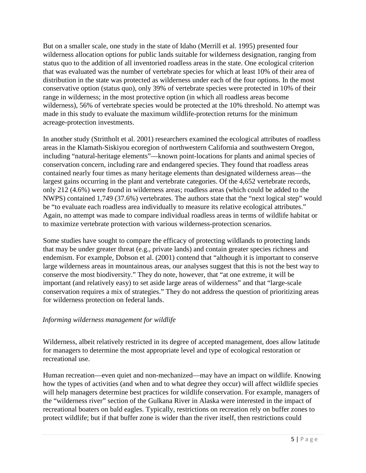But on a smaller scale, one study in the state of Idaho (Merrill et al. 1995) presented four wilderness allocation options for public lands suitable for wilderness designation, ranging from status quo to the addition of all inventoried roadless areas in the state. One ecological criterion that was evaluated was the number of vertebrate species for which at least 10% of their area of distribution in the state was protected as wilderness under each of the four options. In the most conservative option (status quo), only 39% of vertebrate species were protected in 10% of their range in wilderness; in the most protective option (in which all roadless areas become wilderness), 56% of vertebrate species would be protected at the 10% threshold. No attempt was made in this study to evaluate the maximum wildlife-protection returns for the minimum acreage-protection investments.

In another study (Strittholt et al. 2001) researchers examined the ecological attributes of roadless areas in the Klamath-Siskiyou ecoregion of northwestern California and southwestern Oregon, including "natural-heritage elements"—known point-locations for plants and animal species of conservation concern, including rare and endangered species. They found that roadless areas contained nearly four times as many heritage elements than designated wilderness areas—the largest gains occurring in the plant and vertebrate categories. Of the 4,652 vertebrate records, only 212 (4.6%) were found in wilderness areas; roadless areas (which could be added to the NWPS) contained 1,749 (37.6%) vertebrates. The authors state that the "next logical step" would be "to evaluate each roadless area individually to measure its relative ecological attributes." Again, no attempt was made to compare individual roadless areas in terms of wildlife habitat or to maximize vertebrate protection with various wilderness-protection scenarios.

Some studies have sought to compare the efficacy of protecting wildlands to protecting lands that may be under greater threat (e.g., private lands) and contain greater species richness and endemism. For example, Dobson et al. (2001) contend that "although it is important to conserve large wilderness areas in mountainous areas, our analyses suggest that this is not the best way to conserve the most biodiversity." They do note, however, that "at one extreme, it will be important (and relatively easy) to set aside large areas of wilderness" and that "large-scale conservation requires a mix of strategies." They do not address the question of prioritizing areas for wilderness protection on federal lands.

## *Informing wilderness management for wildlife*

Wilderness, albeit relatively restricted in its degree of accepted management, does allow latitude for managers to determine the most appropriate level and type of ecological restoration or recreational use.

Human recreation—even quiet and non-mechanized—may have an impact on wildlife. Knowing how the types of activities (and when and to what degree they occur) will affect wildlife species will help managers determine best practices for wildlife conservation. For example, managers of the "wilderness river" section of the Gulkana River in Alaska were interested in the impact of recreational boaters on bald eagles. Typically, restrictions on recreation rely on buffer zones to protect wildlife; but if that buffer zone is wider than the river itself, then restrictions could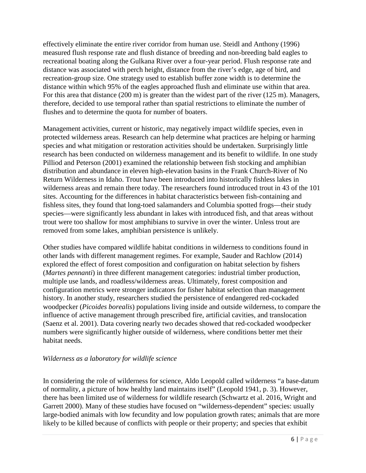effectively eliminate the entire river corridor from human use. Steidl and Anthony (1996) measured flush response rate and flush distance of breeding and non-breeding bald eagles to recreational boating along the Gulkana River over a four-year period. Flush response rate and distance was associated with perch height, distance from the river's edge, age of bird, and recreation-group size. One strategy used to establish buffer zone width is to determine the distance within which 95% of the eagles approached flush and eliminate use within that area. For this area that distance (200 m) is greater than the widest part of the river (125 m). Managers, therefore, decided to use temporal rather than spatial restrictions to eliminate the number of flushes and to determine the quota for number of boaters.

Management activities, current or historic, may negatively impact wildlife species, even in protected wilderness areas. Research can help determine what practices are helping or harming species and what mitigation or restoration activities should be undertaken. Surprisingly little research has been conducted on wilderness management and its benefit to wildlife. In one study Pilliod and Peterson (2001) examined the relationship between fish stocking and amphibian distribution and abundance in eleven high-elevation basins in the Frank Church-River of No Return Wilderness in Idaho. Trout have been introduced into historically fishless lakes in wilderness areas and remain there today. The researchers found introduced trout in 43 of the 101 sites. Accounting for the differences in habitat characteristics between fish-containing and fishless sites, they found that long-toed salamanders and Columbia spotted frogs—their study species—were significantly less abundant in lakes with introduced fish, and that areas without trout were too shallow for most amphibians to survive in over the winter. Unless trout are removed from some lakes, amphibian persistence is unlikely.

Other studies have compared wildlife habitat conditions in wilderness to conditions found in other lands with different management regimes. For example, Sauder and Rachlow (2014) explored the effect of forest composition and configuration on habitat selection by fishers (*Martes pennanti*) in three different management categories: industrial timber production, multiple use lands, and roadless/wilderness areas. Ultimately, forest composition and configuration metrics were stronger indicators for fisher habitat selection than management history. In another study, researchers studied the persistence of endangered red-cockaded woodpecker (*Picoides borealis*) populations living inside and outside wilderness, to compare the influence of active management through prescribed fire, artificial cavities, and translocation (Saenz et al. 2001). Data covering nearly two decades showed that red-cockaded woodpecker numbers were significantly higher outside of wilderness, where conditions better met their habitat needs.

## *Wilderness as a laboratory for wildlife science*

In considering the role of wilderness for science, Aldo Leopold called wilderness "a base-datum of normality, a picture of how healthy land maintains itself" (Leopold 1941, p. 3). However, there has been limited use of wilderness for wildlife research (Schwartz et al. 2016, Wright and Garrett 2000). Many of these studies have focused on "wilderness-dependent" species: usually large-bodied animals with low fecundity and low population growth rates; animals that are more likely to be killed because of conflicts with people or their property; and species that exhibit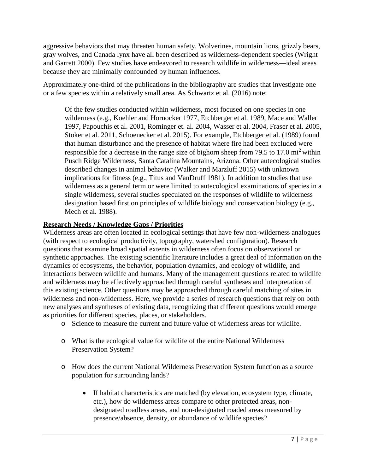aggressive behaviors that may threaten human safety. Wolverines, mountain lions, grizzly bears, gray wolves, and Canada lynx have all been described as wilderness-dependent species (Wright and Garrett 2000). Few studies have endeavored to research wildlife in wilderness—ideal areas because they are minimally confounded by human influences.

Approximately one-third of the publications in the bibliography are studies that investigate one or a few species within a relatively small area. As Schwartz et al. (2016) note:

Of the few studies conducted within wilderness, most focused on one species in one wilderness (e.g., Koehler and Hornocker 1977, Etchberger et al. 1989, Mace and Waller 1997, Papouchis et al. 2001, Rominger et. al. 2004, Wasser et al. 2004, Fraser et al. 2005, Stoker et al. 2011, Schoenecker et al. 2015). For example, Etchberger et al. (1989) found that human disturbance and the presence of habitat where fire had been excluded were responsible for a decrease in the range size of bighorn sheep from 79.5 to 17.0 mi<sup>2</sup> within Pusch Ridge Wilderness, Santa Catalina Mountains, Arizona. Other autecological studies described changes in animal behavior (Walker and Marzluff 2015) with unknown implications for fitness (e.g., Titus and VanDruff 1981). In addition to studies that use wilderness as a general term or were limited to autecological examinations of species in a single wilderness, several studies speculated on the responses of wildlife to wilderness designation based first on principles of wildlife biology and conservation biology (e.g., Mech et al. 1988).

## **Research Needs / Knowledge Gaps / Priorities**

Wilderness areas are often located in ecological settings that have few non-wilderness analogues (with respect to ecological productivity, topography, watershed configuration). Research questions that examine broad spatial extents in wilderness often focus on observational or synthetic approaches. The existing scientific literature includes a great deal of information on the dynamics of ecosystems, the behavior, population dynamics, and ecology of wildlife, and interactions between wildlife and humans. Many of the management questions related to wildlife and wilderness may be effectively approached through careful syntheses and interpretation of this existing science. Other questions may be approached through careful matching of sites in wilderness and non-wilderness. Here, we provide a series of research questions that rely on both new analyses and syntheses of existing data, recognizing that different questions would emerge as priorities for different species, places, or stakeholders.

- o Science to measure the current and future value of wilderness areas for wildlife.
- o What is the ecological value for wildlife of the entire National Wilderness Preservation System?
- o How does the current National Wilderness Preservation System function as a source population for surrounding lands?
	- If habitat characteristics are matched (by elevation, ecosystem type, climate, etc.), how do wilderness areas compare to other protected areas, nondesignated roadless areas, and non-designated roaded areas measured by presence/absence, density, or abundance of wildlife species?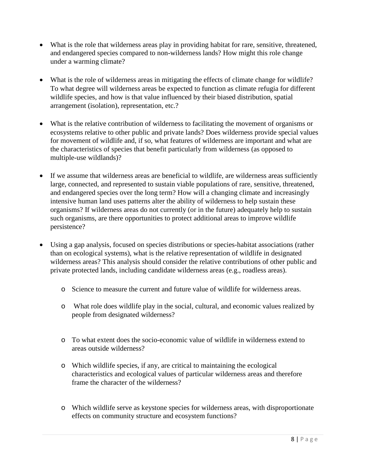- What is the role that wilderness areas play in providing habitat for rare, sensitive, threatened, and endangered species compared to non-wilderness lands? How might this role change under a warming climate?
- What is the role of wilderness areas in mitigating the effects of climate change for wildlife? To what degree will wilderness areas be expected to function as climate refugia for different wildlife species, and how is that value influenced by their biased distribution, spatial arrangement (isolation), representation, etc.?
- What is the relative contribution of wilderness to facilitating the movement of organisms or ecosystems relative to other public and private lands? Does wilderness provide special values for movement of wildlife and, if so, what features of wilderness are important and what are the characteristics of species that benefit particularly from wilderness (as opposed to multiple-use wildlands)?
- If we assume that wilderness areas are beneficial to wildlife, are wilderness areas sufficiently large, connected, and represented to sustain viable populations of rare, sensitive, threatened, and endangered species over the long term? How will a changing climate and increasingly intensive human land uses patterns alter the ability of wilderness to help sustain these organisms? If wilderness areas do not currently (or in the future) adequately help to sustain such organisms, are there opportunities to protect additional areas to improve wildlife persistence?
- Using a gap analysis, focused on species distributions or species-habitat associations (rather than on ecological systems), what is the relative representation of wildlife in designated wilderness areas? This analysis should consider the relative contributions of other public and private protected lands, including candidate wilderness areas (e.g., roadless areas).
	- o Science to measure the current and future value of wildlife for wilderness areas.
	- o What role does wildlife play in the social, cultural, and economic values realized by people from designated wilderness?
	- o To what extent does the socio-economic value of wildlife in wilderness extend to areas outside wilderness?
	- o Which wildlife species, if any, are critical to maintaining the ecological characteristics and ecological values of particular wilderness areas and therefore frame the character of the wilderness?
	- o Which wildlife serve as keystone species for wilderness areas, with disproportionate effects on community structure and ecosystem functions?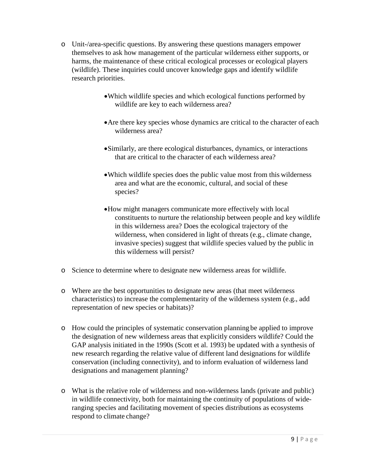- o Unit-/area-specific questions. By answering these questions managers empower themselves to ask how management of the particular wilderness either supports, or harms, the maintenance of these critical ecological processes or ecological players (wildlife). These inquiries could uncover knowledge gaps and identify wildlife research priorities.
	- •Which wildlife species and which ecological functions performed by wildlife are key to each wilderness area?
	- •Are there key species whose dynamics are critical to the character of each wilderness area?
	- •Similarly, are there ecological disturbances, dynamics, or interactions that are critical to the character of each wilderness area?
	- •Which wildlife species does the public value most from this wilderness area and what are the economic, cultural, and social of these species?
	- •How might managers communicate more effectively with local constituents to nurture the relationship between people and key wildlife in this wilderness area? Does the ecological trajectory of the wilderness, when considered in light of threats (e.g., climate change, invasive species) suggest that wildlife species valued by the public in this wilderness will persist?
- o Science to determine where to designate new wilderness areas for wildlife.
- o Where are the best opportunities to designate new areas (that meet wilderness characteristics) to increase the complementarity of the wilderness system (e.g., add representation of new species or habitats)?
- o How could the principles of systematic conservation planning be applied to improve the designation of new wilderness areas that explicitly considers wildlife? Could the GAP analysis initiated in the 1990s (Scott et al. 1993) be updated with a synthesis of new research regarding the relative value of different land designations for wildlife conservation (including connectivity), and to inform evaluation of wilderness land designations and management planning?
- o What is the relative role of wilderness and non-wilderness lands (private and public) in wildlife connectivity, both for maintaining the continuity of populations of wideranging species and facilitating movement of species distributions as ecosystems respond to climate change?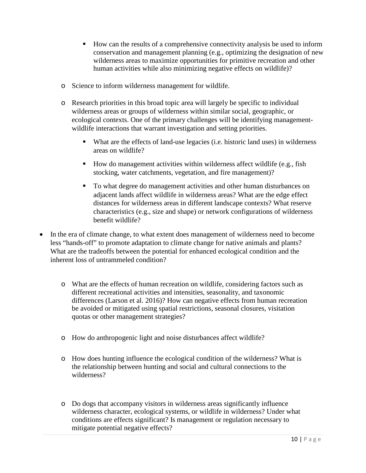- How can the results of a comprehensive connectivity analysis be used to inform conservation and management planning (e.g., optimizing the designation of new wilderness areas to maximize opportunities for primitive recreation and other human activities while also minimizing negative effects on wildlife)?
- o Science to inform wilderness management for wildlife.
- o Research priorities in this broad topic area will largely be specific to individual wilderness areas or groups of wilderness within similar social, geographic, or ecological contexts. One of the primary challenges will be identifying managementwildlife interactions that warrant investigation and setting priorities.
	- What are the effects of land-use legacies (i.e. historic land uses) in wilderness areas on wildlife?
	- How do management activities within wilderness affect wildlife (e.g., fish stocking, water catchments, vegetation, and fire management)?
	- To what degree do management activities and other human disturbances on adjacent lands affect wildlife in wilderness areas? What are the edge effect distances for wilderness areas in different landscape contexts? What reserve characteristics (e.g., size and shape) or network configurations of wilderness benefit wildlife?
- In the era of climate change, to what extent does management of wilderness need to become less "hands-off" to promote adaptation to climate change for native animals and plants? What are the tradeoffs between the potential for enhanced ecological condition and the inherent loss of untrammeled condition?
	- o What are the effects of human recreation on wildlife, considering factors such as different recreational activities and intensities, seasonality, and taxonomic differences (Larson et al. 2016)? How can negative effects from human recreation be avoided or mitigated using spatial restrictions, seasonal closures, visitation quotas or other management strategies?
	- o How do anthropogenic light and noise disturbances affect wildlife?
	- o How does hunting influence the ecological condition of the wilderness? What is the relationship between hunting and social and cultural connections to the wilderness?
	- o Do dogs that accompany visitors in wilderness areas significantly influence wilderness character, ecological systems, or wildlife in wilderness? Under what conditions are effects significant? Is management or regulation necessary to mitigate potential negative effects?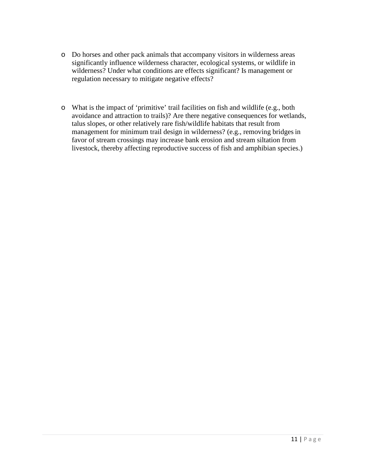- o Do horses and other pack animals that accompany visitors in wilderness areas significantly influence wilderness character, ecological systems, or wildlife in wilderness? Under what conditions are effects significant? Is management or regulation necessary to mitigate negative effects?
- o What is the impact of 'primitive' trail facilities on fish and wildlife (e.g., both avoidance and attraction to trails)? Are there negative consequences for wetlands, talus slopes, or other relatively rare fish/wildlife habitats that result from management for minimum trail design in wilderness? (e.g., removing bridges in favor of stream crossings may increase bank erosion and stream siltation from livestock, thereby affecting reproductive success of fish and amphibian species.)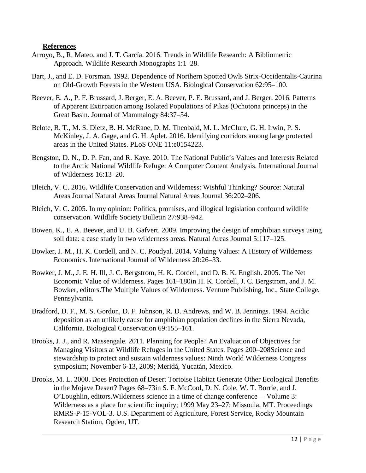#### **References**

- Arroyo, B., R. Mateo, and J. T. García. 2016. Trends in Wildlife Research: A Bibliometric Approach. Wildlife Research Monographs 1:1–28.
- Bart, J., and E. D. Forsman. 1992. Dependence of Northern Spotted Owls Strix-Occidentalis-Caurina on Old-Growth Forests in the Western USA. Biological Conservation 62:95–100.
- Beever, E. A., P. F. Brussard, J. Berger, E. A. Beever, P. E. Brussard, and J. Berger. 2016. Patterns of Apparent Extirpation among Isolated Populations of Pikas (Ochotona princeps) in the Great Basin. Journal of Mammalogy 84:37–54.
- Belote, R. T., M. S. Dietz, B. H. McRaoe, D. M. Theobald, M. L. McClure, G. H. Irwin, P. S. McKinley, J. A. Gage, and G. H. Aplet. 2016. Identifying corridors among large protected areas in the United States. PLoS ONE 11:e0154223.
- Bengston, D. N., D. P. Fan, and R. Kaye. 2010. The National Public's Values and Interests Related to the Arctic National Wildlife Refuge: A Computer Content Analysis. International Journal of Wilderness 16:13–20.
- Bleich, V. C. 2016. Wildlife Conservation and Wilderness: Wishful Thinking? Source: Natural Areas Journal Natural Areas Journal Natural Areas Journal 36:202–206.
- Bleich, V. C. 2005. In my opinion: Politics, promises, and illogical legislation confound wildlife conservation. Wildlife Society Bulletin 27:938–942.
- Bowen, K., E. A. Beever, and U. B. Gafvert. 2009. Improving the design of amphibian surveys using soil data: a case study in two wilderness areas. Natural Areas Journal 5:117–125.
- Bowker, J. M., H. K. Cordell, and N. C. Poudyal. 2014. Valuing Values: A History of Wilderness Economics. International Journal of Wilderness 20:26–33.
- Bowker, J. M., J. E. H. Ill, J. C. Bergstrom, H. K. Cordell, and D. B. K. English. 2005. The Net Economic Value of Wilderness. Pages 161–180in H. K. Cordell, J. C. Bergstrom, and J. M. Bowker, editors.The Multiple Values of Wilderness. Venture Publishing, Inc., State College, Pennsylvania.
- Bradford, D. F., M. S. Gordon, D. F. Johnson, R. D. Andrews, and W. B. Jennings. 1994. Acidic deposition as an unlikely cause for amphibian population declines in the Sierra Nevada, California. Biological Conservation 69:155–161.
- Brooks, J. J., and R. Massengale. 2011. Planning for People? An Evaluation of Objectives for Managing Visitors at Wildlife Refuges in the United States. Pages 200–208Science and stewardship to protect and sustain wilderness values: Ninth World Wilderness Congress symposium; November 6-13, 2009; Meridá, Yucatán, Mexico.
- Brooks, M. L. 2000. Does Protection of Desert Tortoise Habitat Generate Other Ecological Benefits in the Mojave Desert? Pages 68–73in S. F. McCool, D. N. Cole, W. T. Borrie, and J. O'Loughlin, editors.Wilderness science in a time of change conference— Volume 3: Wilderness as a place for scientific inquiry; 1999 May 23–27; Missoula, MT. Proceedings RMRS-P-15-VOL-3. U.S. Department of Agriculture, Forest Service, Rocky Mountain Research Station, Ogden, UT.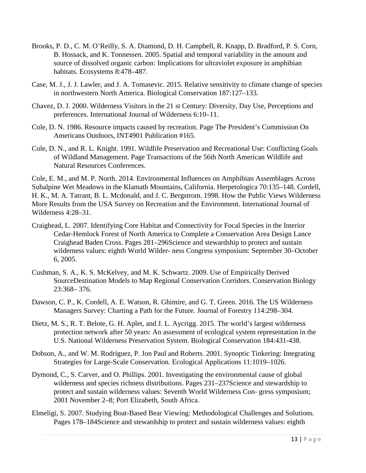- Brooks, P. D., C. M. O'Reilly, S. A. Diamond, D. H. Campbell, R. Knapp, D. Bradford, P. S. Corn, B. Hossack, and K. Tonnessen. 2005. Spatial and temporal variability in the amount and source of dissolved organic carbon: Implications for ultraviolet exposure in amphibian habitats. Ecosystems 8:478–487.
- Case, M. J., J. J. Lawler, and J. A. Tomasevic. 2015. Relative sensitivity to climate change of species in northwestern North America. Biological Conservation 187:127–133.
- Chavez, D. J. 2000. Wilderness Visitors in the 21 st Century: Diversity, Day Use, Perceptions and preferences. International Journal of Wilderness 6:10–11.
- Cole, D. N. 1986. Resource impacts caused by recreation. Page The President's Commission On Americans Outdoors, INT4901 Publication #165.
- Cole, D. N., and R. L. Knight. 1991. Wildlife Preservation and Recreational Use: Conflicting Goals of Wildland Management. Page Transactions of the 56th North American Wildlife and Natural Resources Conferences.

Cole, E. M., and M. P. North. 2014. Environmental Influences on Amphibian Assemblages Across Subalpine Wet Meadows in the Klamath Mountains, California. Herpetologica 70:135–148. Cordell, H. K., M. A. Tatrant, B. L. Mcdonald, and J. C. Bergstrom. 1998. How the Public Views Wilderness More Results from the USA Survey on Recreation and the Environment. International Journal of Wilderness 4:28–31.

- Craighead, L. 2007. Identifying Core Habitat and Connectivity for Focal Species in the Interior Cedar-Hemlock Forest of North America to Complete a Conservation Area Design Lance Craighead Baden Cross. Pages 281–296Science and stewardship to protect and sustain wilderness values: eighth World Wilder- ness Congress symposium: September 30–October 6, 2005.
- Cushman, S. A., K. S. McKelvey, and M. K. Schwartz. 2009. Use of Empirically Derived SourceDestination Models to Map Regional Conservation Corridors. Conservation Biology 23:368– 376.
- Dawson, C. P., K. Cordell, A. E. Watson, R. Ghimire, and G. T. Green. 2016. The US Wilderness Managers Survey: Charting a Path for the Future. Journal of Forestry 114:298–304.
- Dietz, M. S., R. T. Belote, G. H. Aplet, and J. L. Aycrigg. 2015. The world's largest wilderness protection network after 50 years: An assessment of ecological system representation in the U.S. National Wilderness Preservation System. Biological Conservation 184:431-438.
- Dobson, A., and W. M. Rodríguez, P. Jon Paul and Roberts. 2001. Synoptic Tinkering: Integrating Strategies for Large-Scale Conservation. Ecological Applications 11:1019–1026.
- Dymond, C., S. Carver, and O. Phillips. 2001. Investigating the environmental cause of global wilderness and species richness distributions. Pages 231–237Science and stewardship to protect and sustain wilderness values: Seventh World Wilderness Con- gress symposium; 2001 November 2–8; Port Elizabeth, South Africa.
- Elmeligi, S. 2007. Studying Boat-Based Bear Viewing: Methodological Challenges and Solutions. Pages 178–184Science and stewardship to protect and sustain wilderness values: eighth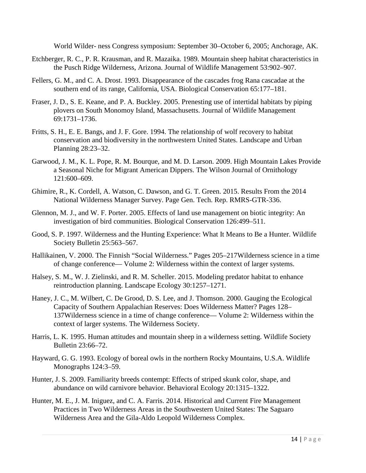World Wilder- ness Congress symposium: September 30–October 6, 2005; Anchorage, AK.

- Etchberger, R. C., P. R. Krausman, and R. Mazaika. 1989. Mountain sheep habitat characteristics in the Pusch Ridge Wilderness, Arizona. Journal of Wildlife Management 53:902–907.
- Fellers, G. M., and C. A. Drost. 1993. Disappearance of the cascades frog Rana cascadae at the southern end of its range, California, USA. Biological Conservation 65:177–181.
- Fraser, J. D., S. E. Keane, and P. A. Buckley. 2005. Prenesting use of intertidal habitats by piping plovers on South Monomoy Island, Massachusetts. Journal of Wildlife Management 69:1731–1736.
- Fritts, S. H., E. E. Bangs, and J. F. Gore. 1994. The relationship of wolf recovery to habitat conservation and biodiversity in the northwestern United States. Landscape and Urban Planning 28:23–32.
- Garwood, J. M., K. L. Pope, R. M. Bourque, and M. D. Larson. 2009. High Mountain Lakes Provide a Seasonal Niche for Migrant American Dippers. The Wilson Journal of Ornithology 121:600–609.
- Ghimire, R., K. Cordell, A. Watson, C. Dawson, and G. T. Green. 2015. Results From the 2014 National Wilderness Manager Survey. Page Gen. Tech. Rep. RMRS-GTR-336.
- Glennon, M. J., and W. F. Porter. 2005. Effects of land use management on biotic integrity: An investigation of bird communities. Biological Conservation 126:499–511.
- Good, S. P. 1997. Wilderness and the Hunting Experience: What It Means to Be a Hunter. Wildlife Society Bulletin 25:563–567.
- Hallikainen, V. 2000. The Finnish "Social Wilderness." Pages 205–217Wilderness science in a time of change conference— Volume 2: Wilderness within the context of larger systems.
- Halsey, S. M., W. J. Zielinski, and R. M. Scheller. 2015. Modeling predator habitat to enhance reintroduction planning. Landscape Ecology 30:1257–1271.
- Haney, J. C., M. Wilbert, C. De Grood, D. S. Lee, and J. Thomson. 2000. Gauging the Ecological Capacity of Southern Appalachian Reserves: Does Wilderness Matter? Pages 128– 137Wilderness science in a time of change conference— Volume 2: Wilderness within the context of larger systems. The Wilderness Society.
- Harris, L. K. 1995. Human attitudes and mountain sheep in a wilderness setting. Wildlife Society Bulletin 23:66–72.
- Hayward, G. G. 1993. Ecology of boreal owls in the northern Rocky Mountains, U.S.A. Wildlife Monographs 124:3–59.
- Hunter, J. S. 2009. Familiarity breeds contempt: Effects of striped skunk color, shape, and abundance on wild carnivore behavior. Behavioral Ecology 20:1315–1322.
- Hunter, M. E., J. M. Iniguez, and C. A. Farris. 2014. Historical and Current Fire Management Practices in Two Wilderness Areas in the Southwestern United States: The Saguaro Wilderness Area and the Gila-Aldo Leopold Wilderness Complex.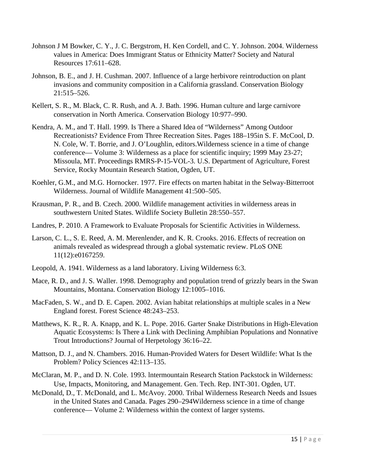- Johnson J M Bowker, C. Y., J. C. Bergstrom, H. Ken Cordell, and C. Y. Johnson. 2004. Wilderness values in America: Does Immigrant Status or Ethnicity Matter? Society and Natural Resources 17:611–628.
- Johnson, B. E., and J. H. Cushman. 2007. Influence of a large herbivore reintroduction on plant invasions and community composition in a California grassland. Conservation Biology 21:515–526.
- Kellert, S. R., M. Black, C. R. Rush, and A. J. Bath. 1996. Human culture and large carnivore conservation in North America. Conservation Biology 10:977–990.
- Kendra, A. M., and T. Hall. 1999. Is There a Shared Idea of "Wilderness" Among Outdoor Recreationists? Evidence From Three Recreation Sites. Pages 188–195in S. F. McCool, D. N. Cole, W. T. Borrie, and J. O'Loughlin, editors.Wilderness science in a time of change conference— Volume 3: Wilderness as a place for scientific inquiry; 1999 May 23-27; Missoula, MT. Proceedings RMRS-P-15-VOL-3. U.S. Department of Agriculture, Forest Service, Rocky Mountain Research Station, Ogden, UT.
- Koehler, G.M., and M.G. Hornocker. 1977. Fire effects on marten habitat in the Selway-Bitterroot Wilderness. Journal of Wildlife Management 41:500–505.
- Krausman, P. R., and B. Czech. 2000. Wildlife management activities in wilderness areas in southwestern United States. Wildlife Society Bulletin 28:550–557.
- Landres, P. 2010. A Framework to Evaluate Proposals for Scientific Activities in Wilderness.
- Larson, C. L., S. E. Reed, A. M. Merenlender, and K. R. Crooks. 2016. Effects of recreation on animals revealed as widespread through a global systematic review. PLoS ONE 11(12):e0167259.
- Leopold, A. 1941. Wilderness as a land laboratory. Living Wilderness 6:3.
- Mace, R. D., and J. S. Waller. 1998. Demography and population trend of grizzly bears in the Swan Mountains, Montana. Conservation Biology 12:1005–1016.
- MacFaden, S. W., and D. E. Capen. 2002. Avian habitat relationships at multiple scales in a New England forest. Forest Science 48:243–253.
- Matthews, K. R., R. A. Knapp, and K. L. Pope. 2016. Garter Snake Distributions in High-Elevation Aquatic Ecosystems: Is There a Link with Declining Amphibian Populations and Nonnative Trout Introductions? Journal of Herpetology 36:16–22.
- Mattson, D. J., and N. Chambers. 2016. Human-Provided Waters for Desert Wildlife: What Is the Problem? Policy Sciences 42:113–135.
- McClaran, M. P., and D. N. Cole. 1993. lntermountain Research Station Packstock in Wilderness: Use, Impacts, Monitoring, and Management. Gen. Tech. Rep. INT-301. Ogden, UT.
- McDonald, D., T. McDonald, and L. McAvoy. 2000. Tribal Wilderness Research Needs and Issues in the United States and Canada. Pages 290–294Wilderness science in a time of change conference— Volume 2: Wilderness within the context of larger systems.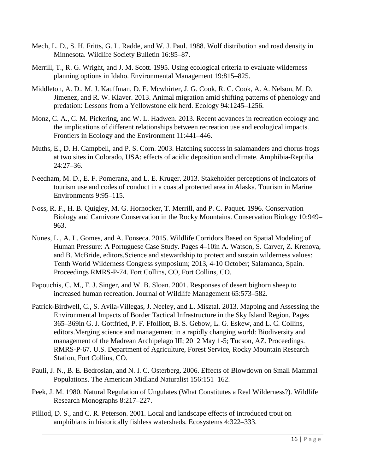- Mech, L. D., S. H. Fritts, G. L. Radde, and W. J. Paul. 1988. Wolf distribution and road density in Minnesota. Wildlife Society Bulletin 16:85–87.
- Merrill, T., R. G. Wright, and J. M. Scott. 1995. Using ecological criteria to evaluate wilderness planning options in Idaho. Environmental Management 19:815–825.
- Middleton, A. D., M. J. Kauffman, D. E. Mcwhirter, J. G. Cook, R. C. Cook, A. A. Nelson, M. D. Jimenez, and R. W. Klaver. 2013. Animal migration amid shifting patterns of phenology and predation: Lessons from a Yellowstone elk herd. Ecology 94:1245–1256.
- Monz, C. A., C. M. Pickering, and W. L. Hadwen. 2013. Recent advances in recreation ecology and the implications of different relationships between recreation use and ecological impacts. Frontiers in Ecology and the Environment 11:441–446.
- Muths, E., D. H. Campbell, and P. S. Corn. 2003. Hatching success in salamanders and chorus frogs at two sites in Colorado, USA: effects of acidic deposition and climate. Amphibia-Reptilia  $24:27-36.$
- Needham, M. D., E. F. Pomeranz, and L. E. Kruger. 2013. Stakeholder perceptions of indicators of tourism use and codes of conduct in a coastal protected area in Alaska. Tourism in Marine Environments 9:95–115.
- Noss, R. F., H. B. Quigley, M. G. Hornocker, T. Merrill, and P. C. Paquet. 1996. Conservation Biology and Carnivore Conservation in the Rocky Mountains. Conservation Biology 10:949– 963.
- Nunes, L., A. L. Gomes, and A. Fonseca. 2015. Wildlife Corridors Based on Spatial Modeling of Human Pressure: A Portuguese Case Study. Pages 4–10in A. Watson, S. Carver, Z. Krenova, and B. McBride, editors.Science and stewardship to protect and sustain wilderness values: Tenth World Wilderness Congress symposium; 2013, 4-10 October; Salamanca, Spain. Proceedings RMRS-P-74. Fort Collins, CO, Fort Collins, CO.
- Papouchis, C. M., F. J. Singer, and W. B. Sloan. 2001. Responses of desert bighorn sheep to increased human recreation. Journal of Wildlife Management 65:573–582.
- Patrick-Birdwell, C., S. Avila-Villegas, J. Neeley, and L. Misztal. 2013. Mapping and Assessing the Environmental Impacts of Border Tactical Infrastructure in the Sky Island Region. Pages 365–369in G. J. Gottfried, P. F. Ffolliott, B. S. Gebow, L. G. Eskew, and L. C. Collins, editors.Merging science and management in a rapidly changing world: Biodiversity and management of the Madrean Archipelago III; 2012 May 1-5; Tucson, AZ. Proceedings. RMRS-P-67. U.S. Department of Agriculture, Forest Service, Rocky Mountain Research Station, Fort Collins, CO.
- Pauli, J. N., B. E. Bedrosian, and N. I. C. Osterberg. 2006. Effects of Blowdown on Small Mammal Populations. The American Midland Naturalist 156:151–162.
- Peek, J. M. 1980. Natural Regulation of Ungulates (What Constitutes a Real Wilderness?). Wildlife Research Monographs 8:217–227.
- Pilliod, D. S., and C. R. Peterson. 2001. Local and landscape effects of introduced trout on amphibians in historically fishless watersheds. Ecosystems 4:322–333.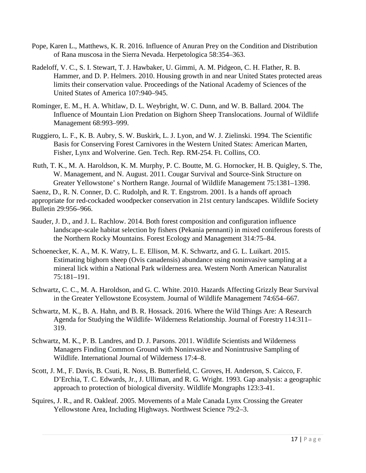- Pope, Karen L., Matthews, K. R. 2016. Influence of Anuran Prey on the Condition and Distribution of Rana muscosa in the Sierra Nevada. Herpetologica 58:354–363.
- Radeloff, V. C., S. I. Stewart, T. J. Hawbaker, U. Gimmi, A. M. Pidgeon, C. H. Flather, R. B. Hammer, and D. P. Helmers. 2010. Housing growth in and near United States protected areas limits their conservation value. Proceedings of the National Academy of Sciences of the United States of America 107:940–945.
- Rominger, E. M., H. A. Whitlaw, D. L. Weybright, W. C. Dunn, and W. B. Ballard. 2004. The Influence of Mountain Lion Predation on Bighorn Sheep Translocations. Journal of Wildlife Management 68:993–999.
- Ruggiero, L. F., K. B. Aubry, S. W. Buskirk, L. J. Lyon, and W. J. Zielinski. 1994. The Scientific Basis for Conserving Forest Carnivores in the Western United States: American Marten, Fisher, Lynx and Wolverine. Gen. Tech. Rep. RM-254. Ft. Collins, CO.
- Ruth, T. K., M. A. Haroldson, K. M. Murphy, P. C. Boutte, M. G. Hornocker, H. B. Quigley, S. The, W. Management, and N. August. 2011. Cougar Survival and Source-Sink Structure on Greater Yellowstone' s Northern Range. Journal of Wildlife Management 75:1381–1398.

Saenz, D., R. N. Conner, D. C. Rudolph, and R. T. Engstrom. 2001. Is a hands off aproach appropriate for red-cockaded woodpecker conservation in 21st century landscapes. Wildlife Society Bulletin 29:956–966.

- Sauder, J. D., and J. L. Rachlow. 2014. Both forest composition and configuration influence landscape-scale habitat selection by fishers (Pekania pennanti) in mixed coniferous forests of the Northern Rocky Mountains. Forest Ecology and Management 314:75–84.
- Schoenecker, K. A., M. K. Watry, L. E. Ellison, M. K. Schwartz, and G. L. Luikart. 2015. Estimating bighorn sheep (Ovis canadensis) abundance using noninvasive sampling at a mineral lick within a National Park wilderness area. Western North American Naturalist 75:181–191.
- Schwartz, C. C., M. A. Haroldson, and G. C. White. 2010. Hazards Affecting Grizzly Bear Survival in the Greater Yellowstone Ecosystem. Journal of Wildlife Management 74:654–667.
- Schwartz, M. K., B. A. Hahn, and B. R. Hossack. 2016. Where the Wild Things Are: A Research Agenda for Studying the Wildlife- Wilderness Relationship. Journal of Forestry 114:311– 319.
- Schwartz, M. K., P. B. Landres, and D. J. Parsons. 2011. Wildlife Scientists and Wilderness Managers Finding Common Ground with Noninvasive and Nonintrusive Sampling of Wildlife. International Journal of Wilderness 17:4–8.
- Scott, J. M., F. Davis, B. Csuti, R. Noss, B. Butterfield, C. Groves, H. Anderson, S. Caicco, F. D'Erchia, T. C. Edwards, Jr., J. Ulliman, and R. G. Wright. 1993. Gap analysis: a geographic approach to protection of biological diversity. Wildlife Mongraphs 123:3-41.
- Squires, J. R., and R. Oakleaf. 2005. Movements of a Male Canada Lynx Crossing the Greater Yellowstone Area, Including Highways. Northwest Science 79:2–3.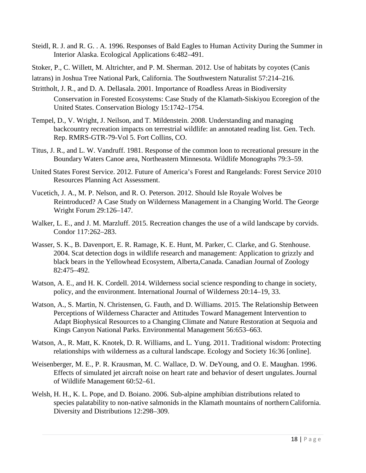- Steidl, R. J. and R. G. . A. 1996. Responses of Bald Eagles to Human Activity During the Summer in Interior Alaska. Ecological Applications 6:482–491.
- Stoker, P., C. Willett, M. Altrichter, and P. M. Sherman. 2012. Use of habitats by coyotes (Canis
- latrans) in Joshua Tree National Park, California. The Southwestern Naturalist 57:214–216.
- Strittholt, J. R., and D. A. Dellasala. 2001. Importance of Roadless Areas in Biodiversity Conservation in Forested Ecosystems: Case Study of the Klamath-Siskiyou Ecoregion of the United States. Conservation Biology 15:1742–1754.
- Tempel, D., V. Wright, J. Neilson, and T. Mildenstein. 2008. Understanding and managing backcountry recreation impacts on terrestrial wildlife: an annotated reading list. Gen. Tech. Rep. RMRS-GTR-79-Vol 5. Fort Collins, CO.
- Titus, J. R., and L. W. Vandruff. 1981. Response of the common loon to recreational pressure in the Boundary Waters Canoe area, Northeastern Minnesota. Wildlife Monographs 79:3–59.
- United States Forest Service. 2012. Future of America's Forest and Rangelands: Forest Service 2010 Resources Planning Act Assessment.
- Vucetich, J. A., M. P. Nelson, and R. O. Peterson. 2012. Should Isle Royale Wolves be Reintroduced? A Case Study on Wilderness Management in a Changing World. The George Wright Forum 29:126–147.
- Walker, L. E., and J. M. Marzluff. 2015. Recreation changes the use of a wild landscape by corvids. Condor 117:262–283.
- Wasser, S. K., B. Davenport, E. R. Ramage, K. E. Hunt, M. Parker, C. Clarke, and G. Stenhouse. 2004. Scat detection dogs in wildlife research and management: Application to grizzly and black bears in the Yellowhead Ecosystem, Alberta,Canada. Canadian Journal of Zoology 82:475–492.
- Watson, A. E., and H. K. Cordell. 2014. Wilderness social science responding to change in society, policy, and the environment. International Journal of Wilderness 20:14–19, 33.
- Watson, A., S. Martin, N. Christensen, G. Fauth, and D. Williams. 2015. The Relationship Between Perceptions of Wilderness Character and Attitudes Toward Management Intervention to Adapt Biophysical Resources to a Changing Climate and Nature Restoration at Sequoia and Kings Canyon National Parks. Environmental Management 56:653–663.
- Watson, A., R. Matt, K. Knotek, D. R. Williams, and L. Yung. 2011. Traditional wisdom: Protecting relationships with wilderness as a cultural landscape. Ecology and Society 16:36 [online].
- Weisenberger, M. E., P. R. Krausman, M. C. Wallace, D. W. DeYoung, and O. E. Maughan. 1996. Effects of simulated jet aircraft noise on heart rate and behavior of desert ungulates.Journal of Wildlife Management 60:52–61.
- Welsh, H. H., K. L. Pope, and D. Boiano. 2006. Sub-alpine amphibian distributions related to species palatability to non-native salmonids in the Klamath mountains of northernCalifornia. Diversity and Distributions 12:298–309.